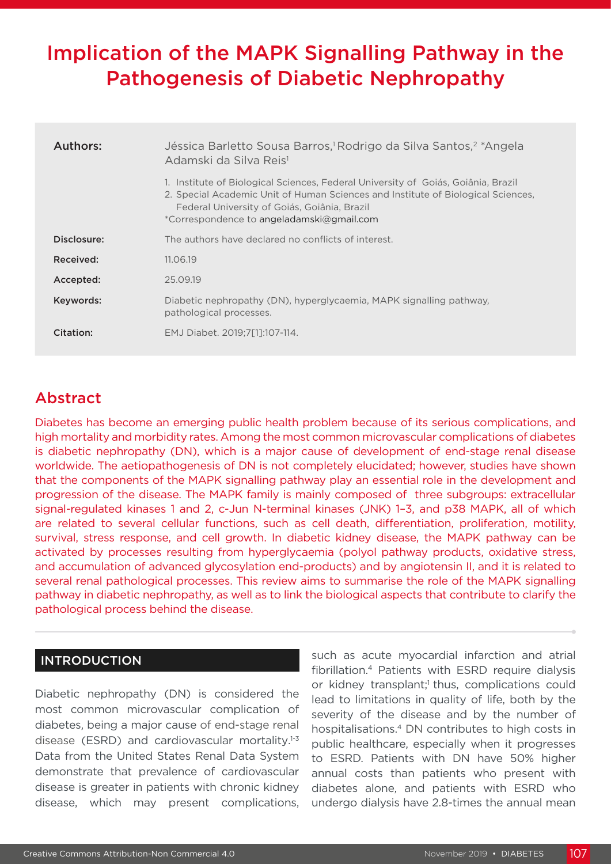# Implication of the MAPK Signalling Pathway in the Pathogenesis of Diabetic Nephropathy

| Authors:    | Jéssica Barletto Sousa Barros, <sup>1</sup> Rodrigo da Silva Santos, <sup>2</sup> *Angela<br>Adamski da Silva Reis <sup>1</sup>                                                                                                                                    |  |  |
|-------------|--------------------------------------------------------------------------------------------------------------------------------------------------------------------------------------------------------------------------------------------------------------------|--|--|
|             | 1. Institute of Biological Sciences, Federal University of Goiás, Goiânia, Brazil<br>2. Special Academic Unit of Human Sciences and Institute of Biological Sciences,<br>Federal University of Goiás, Goiânia, Brazil<br>*Correspondence to angeladamski@gmail.com |  |  |
| Disclosure: | The authors have declared no conflicts of interest.                                                                                                                                                                                                                |  |  |
| Received:   | 11.06.19                                                                                                                                                                                                                                                           |  |  |
| Accepted:   | 25.09.19                                                                                                                                                                                                                                                           |  |  |
| Keywords:   | Diabetic nephropathy (DN), hyperglycaemia, MAPK signalling pathway,<br>pathological processes.                                                                                                                                                                     |  |  |
| Citation:   | EMJ Diabet. 2019;7[1]:107-114.                                                                                                                                                                                                                                     |  |  |

## Abstract

Diabetes has become an emerging public health problem because of its serious complications, and high mortality and morbidity rates. Among the most common microvascular complications of diabetes is diabetic nephropathy (DN), which is a major cause of development of end-stage renal disease worldwide. The aetiopathogenesis of DN is not completely elucidated; however, studies have shown that the components of the MAPK signalling pathway play an essential role in the development and progression of the disease. The MAPK family is mainly composed of three subgroups: extracellular signal-regulated kinases 1 and 2, c-Jun N-terminal kinases (JNK) 1–3, and p38 MAPK, all of which are related to several cellular functions, such as cell death, differentiation, proliferation, motility, survival, stress response, and cell growth. In diabetic kidney disease, the MAPK pathway can be activated by processes resulting from hyperglycaemia (polyol pathway products, oxidative stress, and accumulation of advanced glycosylation end-products) and by angiotensin II, and it is related to several renal pathological processes. This review aims to summarise the role of the MAPK signalling pathway in diabetic nephropathy, as well as to link the biological aspects that contribute to clarify the pathological process behind the disease.

### INTRODUCTION

Diabetic nephropathy (DN) is considered the most common microvascular complication of diabetes, being a major cause of end-stage renal disease (ESRD) and cardiovascular mortality.<sup>1-3</sup> Data from the United States Renal Data System demonstrate that prevalence of cardiovascular disease is greater in patients with chronic kidney disease, which may present complications, such as acute myocardial infarction and atrial fibrillation.4 Patients with ESRD require dialysis or kidney transplant;<sup>1</sup> thus, complications could lead to limitations in quality of life, both by the severity of the disease and by the number of hospitalisations.4 DN contributes to high costs in public healthcare, especially when it progresses to ESRD. Patients with DN have 50% higher annual costs than patients who present with diabetes alone, and patients with ESRD who undergo dialysis have 2.8-times the annual mean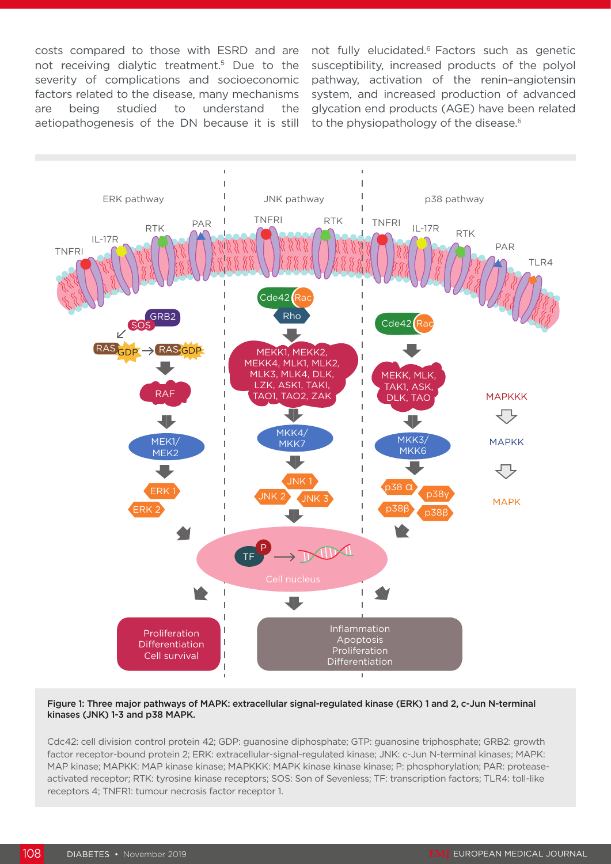costs compared to those with ESRD and are not receiving dialytic treatment.5 Due to the severity of complications and socioeconomic factors related to the disease, many mechanisms are being studied to understand the aetiopathogenesis of the DN because it is still not fully elucidated.<sup>6</sup> Factors such as genetic susceptibility, increased products of the polyol pathway, activation of the renin–angiotensin system, and increased production of advanced glycation end products (AGE) have been related to the physiopathology of the disease.<sup>6</sup>



#### Figure 1: Three major pathways of MAPK: extracellular signal-regulated kinase (ERK) 1 and 2, c-Jun N-terminal kinases (JNK) 1-3 and p38 MAPK.

Cdc42: cell division control protein 42; GDP: guanosine diphosphate; GTP: guanosine triphosphate; GRB2: growth factor receptor-bound protein 2; ERK: extracellular-signal-regulated kinase; JNK: c-Jun N-terminal kinases; MAPK: MAP kinase; MAPKK: MAP kinase kinase; MAPKKK: MAPK kinase kinase kinase; P: phosphorylation; PAR: proteaseactivated receptor; RTK: tyrosine kinase receptors; SOS: Son of Sevenless; TF: transcription factors; TLR4: toll-like receptors 4; TNFR1: tumour necrosis factor receptor 1.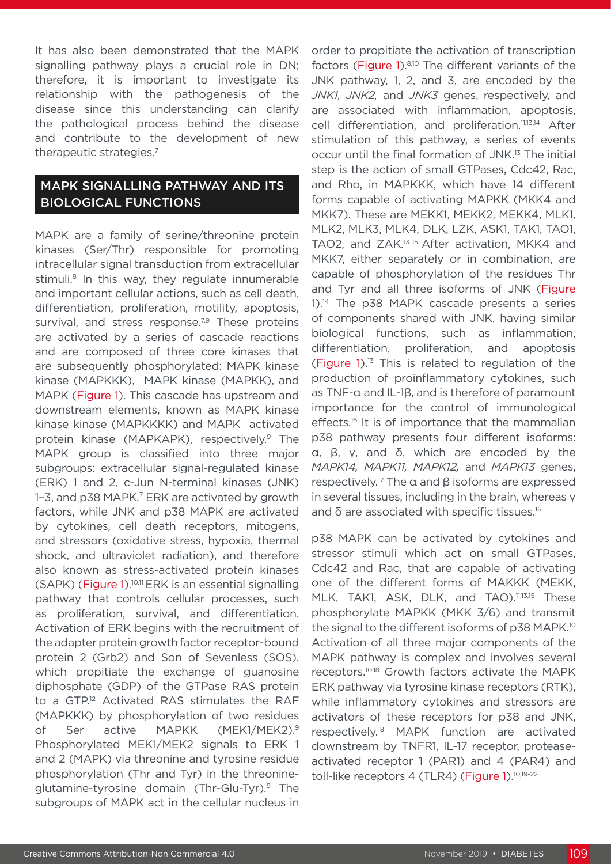It has also been demonstrated that the MAPK signalling pathway plays a crucial role in DN; therefore, it is important to investigate its relationship with the pathogenesis of the disease since this understanding can clarify the pathological process behind the disease and contribute to the development of new therapeutic strategies.7

### MAPK SIGNALLING PATHWAY AND ITS BIOLOGICAL FUNCTIONS

MAPK are a family of serine/threonine protein kinases (Ser/Thr) responsible for promoting intracellular signal transduction from extracellular stimuli.<sup>8</sup> In this way, they regulate innumerable and important cellular actions, such as cell death, differentiation, proliferation, motility, apoptosis, survival, and stress response.<sup>7,9</sup> These proteins are activated by a series of cascade reactions and are composed of three core kinases that are subsequently phosphorylated: MAPK kinase kinase (MAPKKK), MAPK kinase (MAPKK), and MAPK (Figure 1). This cascade has upstream and downstream elements, known as MAPK kinase kinase kinase (MAPKKKK) and MAPK activated protein kinase (MAPKAPK), respectively.<sup>9</sup> The MAPK group is classified into three major subgroups: extracellular signal-regulated kinase (ERK) 1 and 2, c-Jun N-terminal kinases (JNK) 1-3, and p38 MAPK.<sup>7</sup> ERK are activated by growth factors, while JNK and p38 MAPK are activated by cytokines, cell death receptors, mitogens, and stressors (oxidative stress, hypoxia, thermal shock, and ultraviolet radiation), and therefore also known as stress-activated protein kinases (SAPK) (Figure 1).10,11 ERK is an essential signalling pathway that controls cellular processes, such as proliferation, survival, and differentiation. Activation of ERK begins with the recruitment of the adapter protein growth factor receptor-bound protein 2 (Grb2) and Son of Sevenless (SOS), which propitiate the exchange of guanosine diphosphate (GDP) of the GTPase RAS protein to a GTP.<sup>12</sup> Activated RAS stimulates the RAF (MAPKKK) by phosphorylation of two residues of Ser active MAPKK (MEK1/MEK2).9 Phosphorylated MEK1/MEK2 signals to ERK 1 and 2 (MAPK) via threonine and tyrosine residue phosphorylation (Thr and Tyr) in the threonineglutamine-tyrosine domain (Thr-Glu-Tyr).9 The subgroups of MAPK act in the cellular nucleus in

order to propitiate the activation of transcription factors (Figure 1).<sup>8,10</sup> The different variants of the JNK pathway, 1, 2, and 3, are encoded by the *JNK1, JNK2,* and *JNK3* genes, respectively, and are associated with inflammation, apoptosis, cell differentiation, and proliferation.11,13,14 After stimulation of this pathway, a series of events occur until the final formation of JNK.13 The initial step is the action of small GTPases, Cdc42, Rac, and Rho, in MAPKKK, which have 14 different forms capable of activating MAPKK (MKK4 and MKK7). These are MEKK1, MEKK2, MEKK4, MLK1, MLK2, MLK3, MLK4, DLK, LZK, ASK1, TAK1, TAO1, TAO2, and ZAK.13-15 After activation, MKK4 and MKK7, either separately or in combination, are capable of phosphorylation of the residues Thr and Tyr and all three isoforms of JNK (Figure 1).14 The p38 MAPK cascade presents a series of components shared with JNK, having similar biological functions, such as inflammation, differentiation, proliferation, and apoptosis (Figure 1).<sup>13</sup> This is related to regulation of the production of proinflammatory cytokines, such as TNF-α and IL-1β, and is therefore of paramount importance for the control of immunological effects.<sup>16</sup> It is of importance that the mammalian p38 pathway presents four different isoforms: α, β, γ, and δ, which are encoded by the *MAPK14, MAPK11, MAPK12,* and *MAPK13* genes, respectively.<sup>17</sup> The  $\alpha$  and  $\beta$  isoforms are expressed in several tissues, including in the brain, whereas γ and  $\delta$  are associated with specific tissues.<sup>16</sup>

p38 MAPK can be activated by cytokines and stressor stimuli which act on small GTPases, Cdc42 and Rac, that are capable of activating one of the different forms of MAKKK (MEKK, MLK, TAK1, ASK, DLK, and TAO).<sup>11,13,15</sup> These phosphorylate MAPKK (MKK 3/6) and transmit the signal to the different isoforms of p38 MAPK.10 Activation of all three major components of the MAPK pathway is complex and involves several receptors.10,18 Growth factors activate the MAPK ERK pathway via tyrosine kinase receptors (RTK), while inflammatory cytokines and stressors are activators of these receptors for p38 and JNK, respectively.18 MAPK function are activated downstream by TNFR1, IL-17 receptor, proteaseactivated receptor 1 (PAR1) and 4 (PAR4) and toll-like receptors 4 (TLR4) (Figure 1).<sup>10,19-22</sup>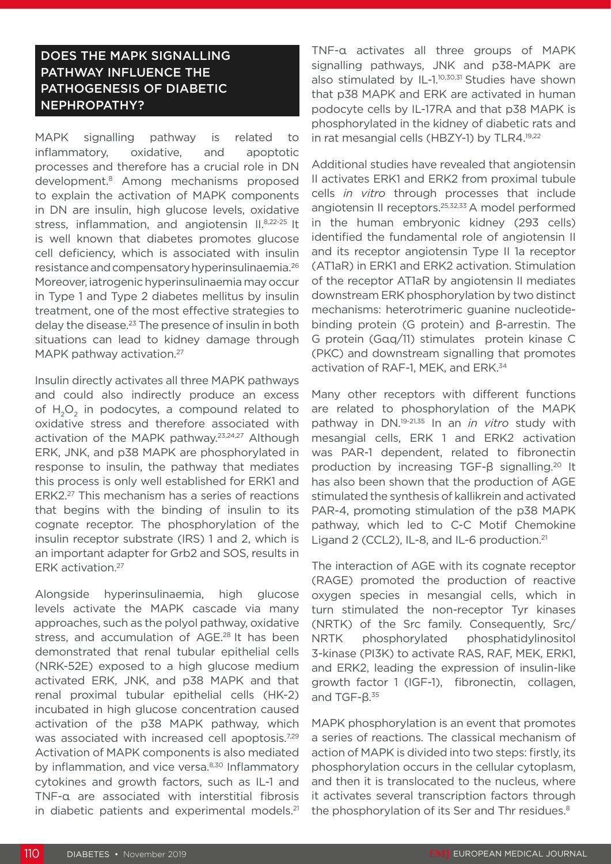### DOES THE MAPK SIGNALLING PATHWAY INFLUENCE THE PATHOGENESIS OF DIABETIC NEPHROPATHY?

MAPK signalling pathway is related to inflammatory, oxidative, and apoptotic processes and therefore has a crucial role in DN development.8 Among mechanisms proposed to explain the activation of MAPK components in DN are insulin, high glucose levels, oxidative stress, inflammation, and angiotensin II.8,22-25 It is well known that diabetes promotes glucose cell deficiency, which is associated with insulin resistance and compensatory hyperinsulinaemia.26 Moreover, iatrogenic hyperinsulinaemia may occur in Type 1 and Type 2 diabetes mellitus by insulin treatment, one of the most effective strategies to delay the disease.23 The presence of insulin in both situations can lead to kidney damage through MAPK pathway activation.<sup>27</sup>

Insulin directly activates all three MAPK pathways and could also indirectly produce an excess of H<sub>2</sub>O<sub>2</sub> in podocytes, a compound related to oxidative stress and therefore associated with activation of the MAPK pathway.<sup>23,24,27</sup> Although ERK, JNK, and p38 MAPK are phosphorylated in response to insulin, the pathway that mediates this process is only well established for ERK1 and ERK2.27 This mechanism has a series of reactions that begins with the binding of insulin to its cognate receptor. The phosphorylation of the insulin receptor substrate (IRS) 1 and 2, which is an important adapter for Grb2 and SOS, results in ERK activation.27

Alongside hyperinsulinaemia, high glucose levels activate the MAPK cascade via many approaches, such as the polyol pathway, oxidative stress, and accumulation of AGE.<sup>28</sup> It has been demonstrated that renal tubular epithelial cells (NRK-52E) exposed to a high glucose medium activated ERK, JNK, and p38 MAPK and that renal proximal tubular epithelial cells (HK-2) incubated in high glucose concentration caused activation of the p38 MAPK pathway, which was associated with increased cell apoptosis.<sup>7,29</sup> Activation of MAPK components is also mediated by inflammation, and vice versa.<sup>8,30</sup> Inflammatory cytokines and growth factors, such as IL-1 and TNF-α are associated with interstitial fibrosis in diabetic patients and experimental models.<sup>21</sup> TNF-α activates all three groups of MAPK signalling pathways, JNK and p38-MAPK are also stimulated by IL-1.<sup>10,30,31</sup> Studies have shown that p38 MAPK and ERK are activated in human podocyte cells by IL-17RA and that p38 MAPK is phosphorylated in the kidney of diabetic rats and in rat mesangial cells (HBZY-1) by TLR4.19,22

Additional studies have revealed that angiotensin II activates ERK1 and ERK2 from proximal tubule cells *in vitro* through processes that include angiotensin II receptors.25,32,33 A model performed in the human embryonic kidney (293 cells) identified the fundamental role of angiotensin II and its receptor angiotensin Type II 1a receptor (AT1aR) in ERK1 and ERK2 activation. Stimulation of the receptor AT1aR by angiotensin II mediates downstream ERK phosphorylation by two distinct mechanisms: heterotrimeric guanine nucleotidebinding protein (G protein) and β-arrestin. The G protein (Gαq/11) stimulates protein kinase C (PKC) and downstream signalling that promotes activation of RAF-1, MEK, and ERK.<sup>34</sup>

Many other receptors with different functions are related to phosphorylation of the MAPK pathway in DN.19-21,35 In an *in vitro* study with mesangial cells, ERK 1 and ERK2 activation was PAR-1 dependent, related to fibronectin production by increasing TGF-β signalling.20 It has also been shown that the production of AGE stimulated the synthesis of kallikrein and activated PAR-4, promoting stimulation of the p38 MAPK pathway, which led to C-C Motif Chemokine Ligand 2 (CCL2), IL-8, and IL-6 production.<sup>21</sup>

The interaction of AGE with its cognate receptor (RAGE) promoted the production of reactive oxygen species in mesangial cells, which in turn stimulated the non-receptor Tyr kinases (NRTK) of the Src family. Consequently, Src/ NRTK phosphorylated phosphatidylinositol 3-kinase (PI3K) to activate RAS, RAF, MEK, ERK1, and ERK2, leading the expression of insulin-like growth factor 1 (IGF-1), fibronectin, collagen, and TGF-β. 35

MAPK phosphorylation is an event that promotes a series of reactions. The classical mechanism of action of MAPK is divided into two steps: firstly, its phosphorylation occurs in the cellular cytoplasm, and then it is translocated to the nucleus, where it activates several transcription factors through the phosphorylation of its Ser and Thr residues.8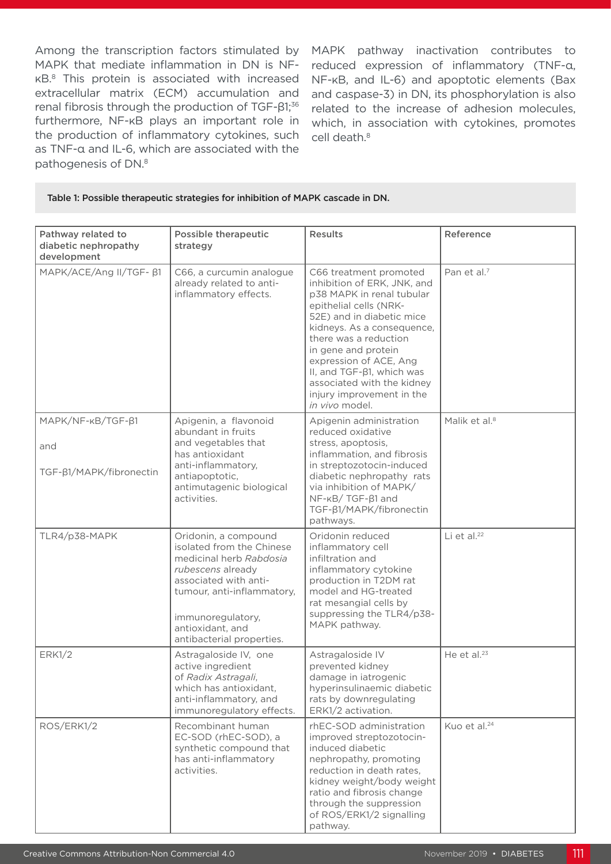Among the transcription factors stimulated by MAPK that mediate inflammation in DN is NFκB.8 This protein is associated with increased extracellular matrix (ECM) accumulation and renal fibrosis through the production of TGF-β1;<sup>36</sup> furthermore, NF-κB plays an important role in the production of inflammatory cytokines, such as TNF-α and IL-6, which are associated with the pathogenesis of DN.8

MAPK pathway inactivation contributes to reduced expression of inflammatory (TNF-α, NF-κB, and IL-6) and apoptotic elements (Bax and caspase-3) in DN, its phosphorylation is also related to the increase of adhesion molecules, which, in association with cytokines, promotes cell death.<sup>8</sup>

#### Table 1: Possible therapeutic strategies for inhibition of MAPK cascade in DN.

| Pathway related to<br>diabetic nephropathy<br>development | <b>Possible therapeutic</b><br>strategy                                                                                                                                                                                        | <b>Results</b>                                                                                                                                                                                                                                                                                                                                              | Reference                 |
|-----------------------------------------------------------|--------------------------------------------------------------------------------------------------------------------------------------------------------------------------------------------------------------------------------|-------------------------------------------------------------------------------------------------------------------------------------------------------------------------------------------------------------------------------------------------------------------------------------------------------------------------------------------------------------|---------------------------|
| MAPK/ACE/Ang II/TGF- ß1                                   | C66, a curcumin analogue<br>already related to anti-<br>inflammatory effects.                                                                                                                                                  | C66 treatment promoted<br>inhibition of ERK, JNK, and<br>p38 MAPK in renal tubular<br>epithelial cells (NRK-<br>52E) and in diabetic mice<br>kidneys. As a consequence,<br>there was a reduction<br>in gene and protein<br>expression of ACE, Ang<br>II, and TGF-ß1, which was<br>associated with the kidney<br>injury improvement in the<br>in vivo model. | Pan et al. <sup>7</sup>   |
| MAPK/NF-KB/TGF-β1<br>and<br>TGF-β1/MAPK/fibronectin       | Apigenin, a flavonoid<br>abundant in fruits<br>and vegetables that<br>has antioxidant<br>anti-inflammatory,<br>antiapoptotic,<br>antimutagenic biological<br>activities.                                                       | Apigenin administration<br>reduced oxidative<br>stress, apoptosis,<br>inflammation, and fibrosis<br>in streptozotocin-induced<br>diabetic nephropathy rats<br>via inhibition of MAPK/<br>NF-KB/TGF-ß1 and<br>TGF-β1/MAPK/fibronectin<br>pathways.                                                                                                           | Malik et al. <sup>8</sup> |
| TLR4/p38-MAPK                                             | Oridonin, a compound<br>isolated from the Chinese<br>medicinal herb Rabdosia<br>rubescens already<br>associated with anti-<br>tumour, anti-inflammatory,<br>immunoregulatory,<br>antioxidant, and<br>antibacterial properties. | Oridonin reduced<br>inflammatory cell<br>infiltration and<br>inflammatory cytokine<br>production in T2DM rat<br>model and HG-treated<br>rat mesangial cells by<br>suppressing the TLR4/p38-<br>MAPK pathway.                                                                                                                                                | Li et al. <sup>22</sup>   |
| ERK1/2                                                    | Astragaloside IV, one<br>active ingredient<br>of Radix Astragali,<br>which has antioxidant,<br>anti-inflammatory, and<br>immunoregulatory effects.                                                                             | Astragaloside IV<br>prevented kidney<br>damage in iatrogenic<br>hyperinsulinaemic diabetic<br>rats by downregulating<br>ERK1/2 activation.                                                                                                                                                                                                                  | He et al. $23$            |
| ROS/ERK1/2                                                | Recombinant human<br>EC-SOD (rhEC-SOD), a<br>synthetic compound that<br>has anti-inflammatory<br>activities.                                                                                                                   | rhEC-SOD administration<br>improved streptozotocin-<br>induced diabetic<br>nephropathy, promoting<br>reduction in death rates,<br>kidney weight/body weight<br>ratio and fibrosis change<br>through the suppression<br>of ROS/ERK1/2 signalling<br>pathway.                                                                                                 | Kuo et al. <sup>24</sup>  |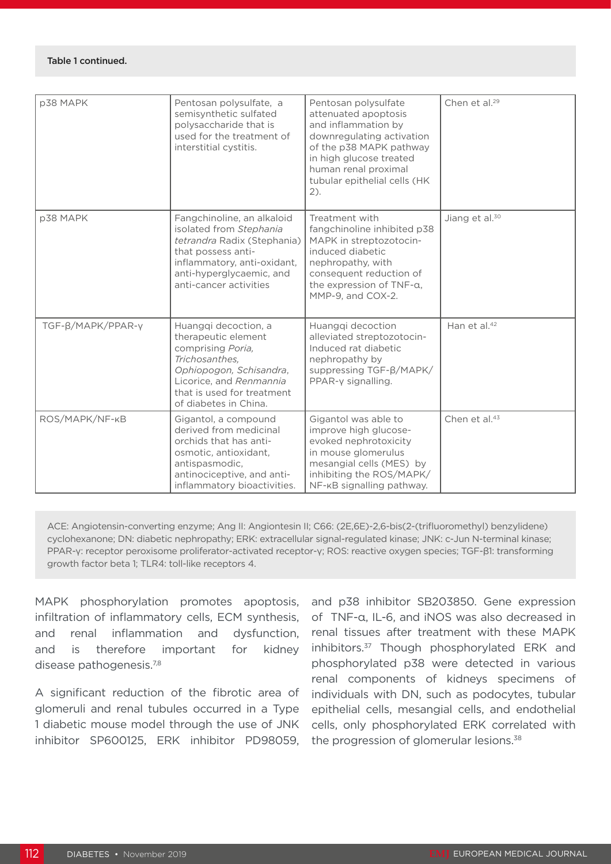#### Table 1 continued.

| p38 MAPK          | Pentosan polysulfate, a<br>semisynthetic sulfated<br>polysaccharide that is<br>used for the treatment of<br>interstitial cystitis.                                                              | Pentosan polysulfate<br>attenuated apoptosis<br>and inflammation by<br>downregulating activation<br>of the p38 MAPK pathway<br>in high glucose treated<br>human renal proximal<br>tubular epithelial cells (HK<br>$(2)$ . | Chen et al. <sup>29</sup>  |
|-------------------|-------------------------------------------------------------------------------------------------------------------------------------------------------------------------------------------------|---------------------------------------------------------------------------------------------------------------------------------------------------------------------------------------------------------------------------|----------------------------|
| p38 MAPK          | Fangchinoline, an alkaloid<br>isolated from Stephania<br>tetrandra Radix (Stephania)<br>that possess anti-<br>inflammatory, anti-oxidant,<br>anti-hyperglycaemic, and<br>anti-cancer activities | Treatment with<br>fangchinoline inhibited p38<br>MAPK in streptozotocin-<br>induced diabetic<br>nephropathy, with<br>consequent reduction of<br>the expression of TNF-a,<br>MMP-9, and COX-2.                             | Jiang et al. <sup>30</sup> |
| TGF-B/MAPK/PPAR-y | Huangqi decoction, a<br>therapeutic element<br>comprising Poria.<br>Trichosanthes.<br>Ophiopogon, Schisandra,<br>Licorice, and Renmannia<br>that is used for treatment<br>of diabetes in China. | Huangqi decoction<br>alleviated streptozotocin-<br>Induced rat diabetic<br>nephropathy by<br>suppressing TGF-B/MAPK/<br>PPAR-y signalling.                                                                                | Han et al. <sup>42</sup>   |
| ROS/MAPK/NF-KB    | Gigantol, a compound<br>derived from medicinal<br>orchids that has anti-<br>osmotic, antioxidant,<br>antispasmodic,<br>antinociceptive, and anti-<br>inflammatory bioactivities.                | Gigantol was able to<br>improve high glucose-<br>evoked nephrotoxicity<br>in mouse glomerulus<br>mesangial cells (MES) by<br>inhibiting the ROS/MAPK/<br>NF-KB signalling pathway.                                        | Chen et al. <sup>43</sup>  |

ACE: Angiotensin-converting enzyme; Ang II: Angiontesin II; C66: (2E,6E)-2,6-bis(2-(trifluoromethyl) benzylidene) cyclohexanone; DN: diabetic nephropathy; ERK: extracellular signal-regulated kinase; JNK: c-Jun N-terminal kinase; PPAR-γ: receptor peroxisome proliferator-activated receptor-γ; ROS: reactive oxygen species; TGF-β1: transforming growth factor beta 1; TLR4: toll-like receptors 4.

MAPK phosphorylation promotes apoptosis, infiltration of inflammatory cells, ECM synthesis, and renal inflammation and dysfunction, and is therefore important for kidney disease pathogenesis.<sup>7,8</sup>

A significant reduction of the fibrotic area of glomeruli and renal tubules occurred in a Type 1 diabetic mouse model through the use of JNK inhibitor SP600125, ERK inhibitor PD98059, and p38 inhibitor SB203850. Gene expression of TNF-α, IL-6, and iNOS was also decreased in renal tissues after treatment with these MAPK inhibitors.<sup>37</sup> Though phosphorylated ERK and phosphorylated p38 were detected in various renal components of kidneys specimens of individuals with DN, such as podocytes, tubular epithelial cells, mesangial cells, and endothelial cells, only phosphorylated ERK correlated with the progression of glomerular lesions.<sup>38</sup>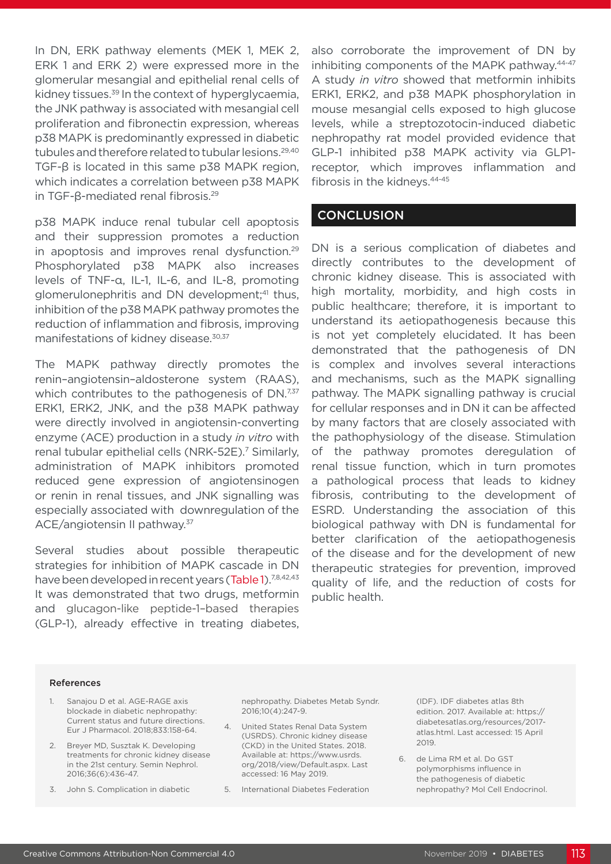In DN, ERK pathway elements (MEK 1, MEK 2, ERK 1 and ERK 2) were expressed more in the glomerular mesangial and epithelial renal cells of kidney tissues.39 In the context of hyperglycaemia, the JNK pathway is associated with mesangial cell proliferation and fibronectin expression, whereas p38 MAPK is predominantly expressed in diabetic tubules and therefore related to tubular lesions.<sup>29,40</sup> TGF-β is located in this same p38 MAPK region, which indicates a correlation between p38 MAPK in TGF-β-mediated renal fibrosis.29

p38 MAPK induce renal tubular cell apoptosis and their suppression promotes a reduction in apoptosis and improves renal dysfunction.<sup>29</sup> Phosphorylated p38 MAPK also increases levels of TNF-α, IL-1, IL-6, and IL-8, promoting glomerulonephritis and DN development;<sup>41</sup> thus, inhibition of the p38 MAPK pathway promotes the reduction of inflammation and fibrosis, improving manifestations of kidney disease.<sup>30,37</sup>

The MAPK pathway directly promotes the renin–angiotensin–aldosterone system (RAAS), which contributes to the pathogenesis of DN.<sup>7,37</sup> ERK1, ERK2, JNK, and the p38 MAPK pathway were directly involved in angiotensin-converting enzyme (ACE) production in a study *in vitro* with renal tubular epithelial cells (NRK-52E).<sup>7</sup> Similarly, administration of MAPK inhibitors promoted reduced gene expression of angiotensinogen or renin in renal tissues, and JNK signalling was especially associated with downregulation of the ACE/angiotensin II pathway.37

Several studies about possible therapeutic strategies for inhibition of MAPK cascade in DN have been developed in recent years (Table 1).<sup>7,8,42,43</sup> It was demonstrated that two drugs, metformin and glucagon-like peptide-1–based therapies (GLP-1), already effective in treating diabetes, also corroborate the improvement of DN by inhibiting components of the MAPK pathway.<sup>44-47</sup> A study *in vitro* showed that metformin inhibits ERK1, ERK2, and p38 MAPK phosphorylation in mouse mesangial cells exposed to high glucose levels, while a streptozotocin-induced diabetic nephropathy rat model provided evidence that GLP-1 inhibited p38 MAPK activity via GLP1 receptor, which improves inflammation and fibrosis in the kidneys.<sup>44-45</sup>

### **CONCLUSION**

DN is a serious complication of diabetes and directly contributes to the development of chronic kidney disease. This is associated with high mortality, morbidity, and high costs in public healthcare; therefore, it is important to understand its aetiopathogenesis because this is not yet completely elucidated. It has been demonstrated that the pathogenesis of DN is complex and involves several interactions and mechanisms, such as the MAPK signalling pathway. The MAPK signalling pathway is crucial for cellular responses and in DN it can be affected by many factors that are closely associated with the pathophysiology of the disease. Stimulation of the pathway promotes deregulation of renal tissue function, which in turn promotes a pathological process that leads to kidney fibrosis, contributing to the development of ESRD. Understanding the association of this biological pathway with DN is fundamental for better clarification of the aetiopathogenesis of the disease and for the development of new therapeutic strategies for prevention, improved quality of life, and the reduction of costs for public health.

#### References

- Sanajou D et al. AGE-RAGE axis blockade in diabetic nephropathy: Current status and future directions. Eur J Pharmacol. 2018;833:158-64.
- 2. Breyer MD, Susztak K. Developing treatments for chronic kidney disease in the 21st century. Semin Nephrol. 2016;36(6):436-47.
- 3. John S. Complication in diabetic

nephropathy. Diabetes Metab Syndr. 2016;10(4):247-9.

- 4. United States Renal Data System (USRDS). Chronic kidney disease (CKD) in the United States. 2018. Available at: https://www.usrds. org/2018/view/Default.aspx. Last accessed: 16 May 2019.
- 5. International Diabetes Federation

(IDF). IDF diabetes atlas 8th edition. 2017. Available at: https:// diabetesatlas.org/resources/2017 atlas.html. Last accessed: 15 April 2019.

6. de Lima RM et al. Do GST polymorphisms influence in the pathogenesis of diabetic nephropathy? Mol Cell Endocrinol.